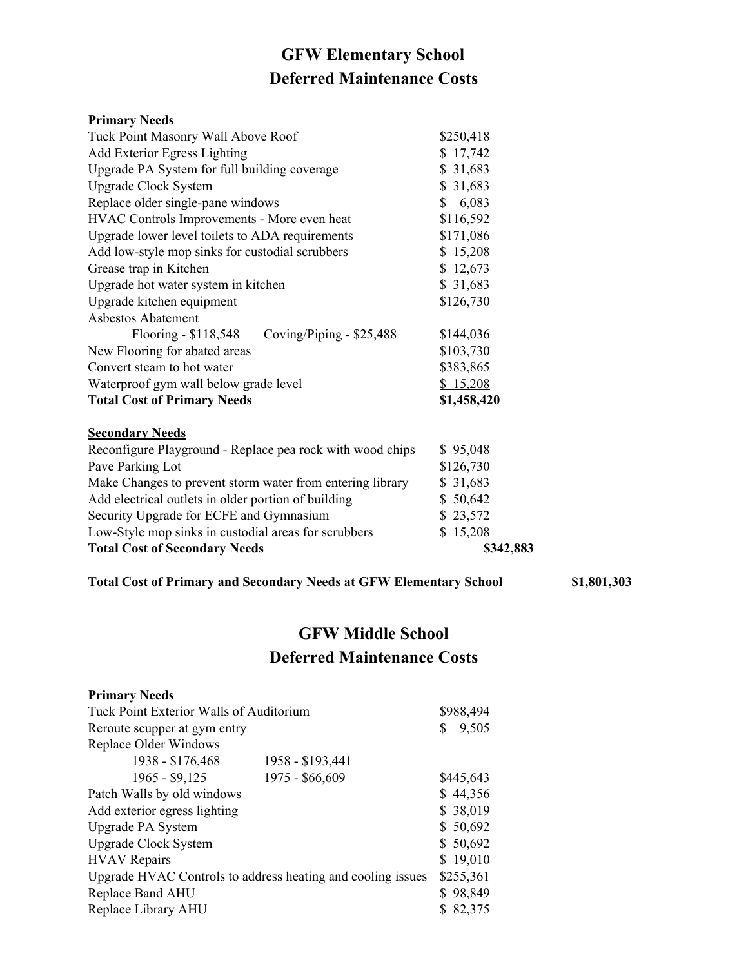## **GFW Elementary School Deferred Maintenance Costs**

| <b>Primary Needs</b> |  |
|----------------------|--|
|                      |  |

| Tuck Point Masonry Wall Above Roof                        | \$250,418   |
|-----------------------------------------------------------|-------------|
| <b>Add Exterior Egress Lighting</b>                       | \$17,742    |
| Upgrade PA System for full building coverage              | \$31,683    |
| <b>Upgrade Clock System</b>                               | \$31,683    |
| Replace older single-pane windows                         | 6,083<br>S. |
| HVAC Controls Improvements - More even heat               | \$116,592   |
| Upgrade lower level toilets to ADA requirements           | \$171,086   |
| Add low-style mop sinks for custodial scrubbers           | \$15,208    |
| Grease trap in Kitchen                                    | \$12,673    |
| Upgrade hot water system in kitchen                       | \$31,683    |
| Upgrade kitchen equipment                                 | \$126,730   |
| <b>Asbestos Abatement</b>                                 |             |
| Flooring - \$118,548<br>Coving/Piping - \$25,488          | \$144,036   |
| New Flooring for abated areas                             | \$103,730   |
| Convert steam to hot water                                | \$383,865   |
| Waterproof gym wall below grade level                     | \$15,208    |
| <b>Total Cost of Primary Needs</b>                        | \$1,458,420 |
| <b>Secondary Needs</b>                                    |             |
| Reconfigure Playground - Replace pea rock with wood chips | \$95,048    |
| Pave Parking Lot                                          | \$126.730   |

| <b>Total Cost of Secondary Needs</b>                      | \$342,883 |
|-----------------------------------------------------------|-----------|
| Low-Style mop sinks in custodial areas for scrubbers      | \$15,208  |
| Security Upgrade for ECFE and Gymnasium                   | \$23,572  |
| Add electrical outlets in older portion of building       | \$50,642  |
| Make Changes to prevent storm water from entering library | \$31,683  |
| Pave Parking Lot                                          | \$126,730 |

| <b>Total Cost of Primary and Secondary Needs at GFW Elementary School</b> | \$1,801,303 |
|---------------------------------------------------------------------------|-------------|
|---------------------------------------------------------------------------|-------------|

## **GFW Middle School Deferred Maintenance Costs**

| <b>Primary Needs</b>                                        |                  |           |
|-------------------------------------------------------------|------------------|-----------|
| Tuck Point Exterior Walls of Auditorium                     |                  | \$988,494 |
| Reroute scupper at gym entry                                |                  | 9,505     |
| <b>Replace Older Windows</b>                                |                  |           |
| 1938 - \$176,468                                            | 1958 - \$193,441 |           |
| 1965 - \$9,125                                              | 1975 - \$66,609  | \$445,643 |
| Patch Walls by old windows                                  |                  | \$44,356  |
| Add exterior egress lighting                                |                  | \$38,019  |
| <b>Upgrade PA System</b>                                    |                  | \$50,692  |
| <b>Upgrade Clock System</b>                                 |                  | \$50,692  |
| <b>HVAV</b> Repairs                                         |                  | \$19,010  |
| Upgrade HVAC Controls to address heating and cooling issues |                  | \$255,361 |
| Replace Band AHU                                            |                  | \$98,849  |
| Replace Library AHU                                         |                  | \$82,375  |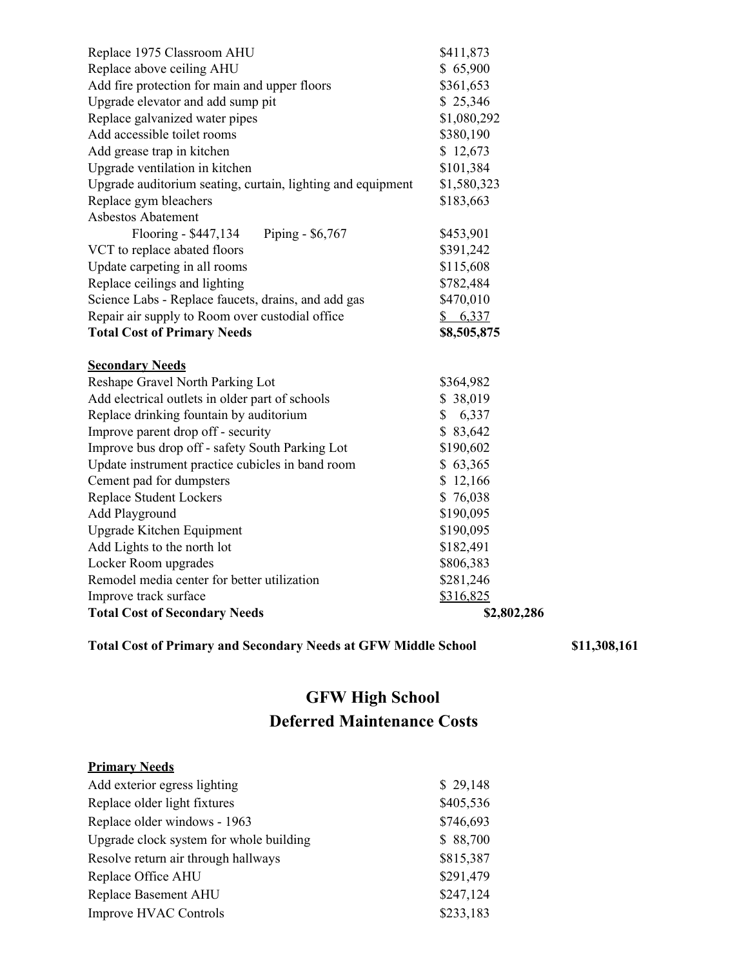| Replace 1975 Classroom AHU                                  | \$411,873   |
|-------------------------------------------------------------|-------------|
| Replace above ceiling AHU                                   | \$65,900    |
| Add fire protection for main and upper floors               | \$361,653   |
| Upgrade elevator and add sump pit                           | \$25,346    |
| Replace galvanized water pipes                              | \$1,080,292 |
| Add accessible toilet rooms                                 | \$380,190   |
| Add grease trap in kitchen                                  | \$12,673    |
| Upgrade ventilation in kitchen                              | \$101,384   |
| Upgrade auditorium seating, curtain, lighting and equipment | \$1,580,323 |
| Replace gym bleachers                                       | \$183,663   |
| <b>Asbestos Abatement</b>                                   |             |
| Flooring - \$447,134<br>Piping - \$6,767                    | \$453,901   |
| VCT to replace abated floors                                | \$391,242   |
| Update carpeting in all rooms                               | \$115,608   |
| Replace ceilings and lighting                               | \$782,484   |
| Science Labs - Replace faucets, drains, and add gas         | \$470,010   |
| Repair air supply to Room over custodial office             | \$6,337     |
| <b>Total Cost of Primary Needs</b>                          | \$8,505,875 |
| <b>Secondary Needs</b>                                      |             |
| Reshape Gravel North Parking Lot                            | \$364,982   |
| Add electrical outlets in older part of schools             | \$38,019    |
| Replace drinking fountain by auditorium                     | \$6,337     |
| Improve parent drop off - security                          | \$83,642    |
| Improve bus drop off - safety South Parking Lot             | \$190,602   |
| Update instrument practice cubicles in band room            | \$63,365    |
| Cement pad for dumpsters                                    | \$12,166    |
| <b>Replace Student Lockers</b>                              | \$76,038    |
| Add Playground                                              | \$190,095   |
| <b>Upgrade Kitchen Equipment</b>                            | \$190,095   |
| Add Lights to the north lot                                 | \$182,491   |
| Locker Room upgrades                                        | \$806,383   |
| Remodel media center for better utilization                 | \$281,246   |
| Improve track surface                                       | \$316,825   |
| <b>Total Cost of Secondary Needs</b>                        | \$2,802,286 |

**Total Cost of Primary and Secondary Needs at GFW Middle School \$11,308,161**

## **GFW High School Deferred Maintenance Costs**

| <b>Primary Needs</b>                    |           |
|-----------------------------------------|-----------|
| Add exterior egress lighting            | \$29,148  |
| Replace older light fixtures            | \$405,536 |
| Replace older windows - 1963            | \$746,693 |
| Upgrade clock system for whole building | \$88,700  |
| Resolve return air through hallways     | \$815,387 |
| Replace Office AHU                      | \$291,479 |
| Replace Basement AHU                    | \$247,124 |
| <b>Improve HVAC Controls</b>            | \$233,183 |